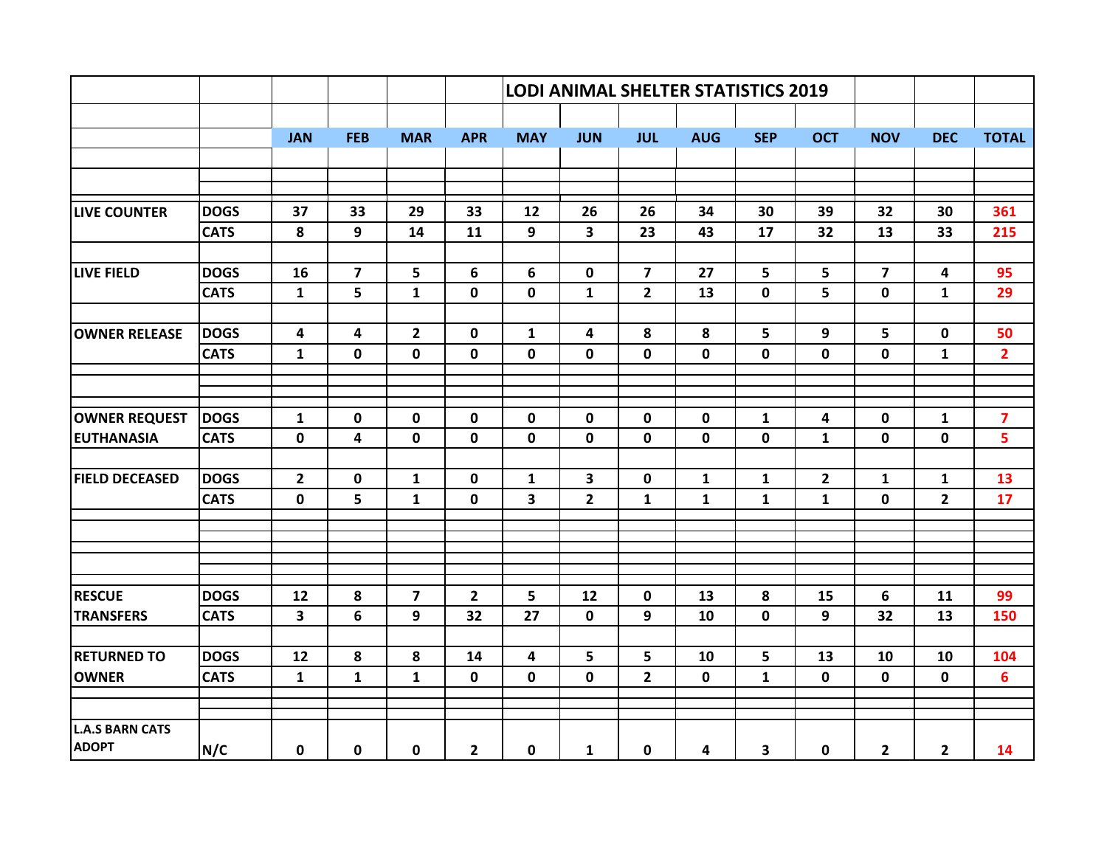|                        |             |                         |                         |                         |                | <b>LODI ANIMAL SHELTER STATISTICS 2019</b> |                |                |              |              |              |                |                         |                         |
|------------------------|-------------|-------------------------|-------------------------|-------------------------|----------------|--------------------------------------------|----------------|----------------|--------------|--------------|--------------|----------------|-------------------------|-------------------------|
|                        |             |                         |                         |                         |                |                                            |                |                |              |              |              |                |                         |                         |
|                        |             | <b>JAN</b>              | <b>FEB</b>              | <b>MAR</b>              | <b>APR</b>     | <b>MAY</b>                                 | <b>JUN</b>     | <b>JUL</b>     | <b>AUG</b>   | <b>SEP</b>   | <b>OCT</b>   | <b>NOV</b>     | <b>DEC</b>              | <b>TOTAL</b>            |
|                        |             |                         |                         |                         |                |                                            |                |                |              |              |              |                |                         |                         |
|                        |             |                         |                         |                         |                |                                            |                |                |              |              |              |                |                         |                         |
| <b>LIVE COUNTER</b>    | <b>DOGS</b> | 37                      | 33                      | 29                      | 33             | 12                                         | 26             | 26             | 34           | 30           | 39           | 32             | 30                      | 361                     |
|                        | <b>CATS</b> | 8                       | 9                       | 14                      | 11             | 9                                          | $\mathbf{3}$   | 23             | 43           | 17           | 32           | 13             | 33                      | 215                     |
|                        |             |                         |                         |                         |                |                                            |                |                |              |              |              |                |                         |                         |
| <b>LIVE FIELD</b>      | <b>DOGS</b> | 16                      | $\overline{\mathbf{z}}$ | $5\phantom{a}$          | 6              | 6                                          | $\mathbf 0$    | $\overline{7}$ | 27           | 5            | 5            | $\overline{7}$ | $\overline{\mathbf{4}}$ | 95                      |
|                        | <b>CATS</b> | $\mathbf{1}$            | 5                       | $\mathbf{1}$            | $\mathbf 0$    | $\mathbf 0$                                | $\mathbf{1}$   | $\overline{2}$ | 13           | $\mathbf 0$  | 5            | $\mathbf 0$    | $\mathbf{1}$            | 29                      |
| <b>OWNER RELEASE</b>   | <b>DOGS</b> | 4                       | 4                       | $\overline{2}$          | $\mathbf{0}$   | $\mathbf{1}$                               | 4              | 8              | 8            | 5            | 9            | 5              | 0                       | 50                      |
|                        | <b>CATS</b> | $\mathbf{1}$            | 0                       | $\mathbf 0$             | $\mathbf 0$    | $\mathbf 0$                                | $\mathbf 0$    | 0              | $\mathbf 0$  | $\mathbf 0$  | $\mathbf 0$  | $\mathbf 0$    | $\mathbf{1}$            | $\overline{2}$          |
|                        |             |                         |                         |                         |                |                                            |                |                |              |              |              |                |                         |                         |
|                        |             |                         |                         |                         |                |                                            |                |                |              |              |              |                |                         |                         |
| <b>OWNER REQUEST</b>   | <b>DOGS</b> | $\mathbf{1}$            | 0                       | $\mathbf 0$             | $\mathbf 0$    | $\mathbf 0$                                | $\mathbf 0$    | $\mathbf 0$    | $\mathbf 0$  | $\mathbf{1}$ | 4            | $\mathbf 0$    | $\mathbf{1}$            | $\overline{\mathbf{z}}$ |
| <b>EUTHANASIA</b>      | <b>CATS</b> | $\mathbf 0$             | 4                       | $\mathbf 0$             | $\mathbf 0$    | $\mathbf 0$                                | $\mathbf 0$    | $\mathbf 0$    | $\mathbf 0$  | $\mathbf 0$  | $\mathbf{1}$ | $\mathbf{0}$   | $\mathbf 0$             | 5                       |
| <b>FIELD DECEASED</b>  | <b>DOGS</b> | $\overline{2}$          | $\mathbf 0$             | $\mathbf{1}$            | $\mathbf 0$    | $\mathbf{1}$                               | 3              | $\mathbf 0$    | $\mathbf{1}$ | $\mathbf{1}$ | $\mathbf{2}$ | $\mathbf{1}$   | $\mathbf{1}$            | 13                      |
|                        | <b>CATS</b> | $\mathbf 0$             | 5                       | $\mathbf{1}$            | $\mathbf 0$    | 3                                          | $\overline{2}$ | $\mathbf{1}$   | $\mathbf{1}$ | $\mathbf{1}$ | $\mathbf{1}$ | $\mathbf 0$    | $\overline{2}$          | 17                      |
|                        |             |                         |                         |                         |                |                                            |                |                |              |              |              |                |                         |                         |
|                        |             |                         |                         |                         |                |                                            |                |                |              |              |              |                |                         |                         |
|                        |             |                         |                         |                         |                |                                            |                |                |              |              |              |                |                         |                         |
|                        |             |                         |                         |                         |                |                                            |                |                |              |              |              |                |                         |                         |
| <b>RESCUE</b>          | <b>DOGS</b> | 12                      | 8                       | $\overline{\mathbf{z}}$ | $\overline{2}$ | 5                                          | 12             | $\mathbf 0$    | 13           | 8            | 15           | 6              | 11                      | 99                      |
| <b>TRANSFERS</b>       | <b>CATS</b> | $\overline{\mathbf{3}}$ | 6                       | 9                       | 32             | 27                                         | $\mathbf 0$    | 9              | 10           | $\mathbf 0$  | 9            | 32             | 13                      | 150                     |
| <b>RETURNED TO</b>     | <b>DOGS</b> | 12                      | 8                       | 8                       | 14             | 4                                          | 5              | 5              | 10           | 5            | 13           | 10             | 10                      | 104                     |
| <b>OWNER</b>           | <b>CATS</b> | $\mathbf{1}$            | $\mathbf{1}$            | $\mathbf{1}$            | $\mathbf 0$    | $\mathbf 0$                                | $\mathbf 0$    | $\overline{2}$ | $\mathbf 0$  | $\mathbf{1}$ | $\mathbf 0$  | $\mathbf 0$    | $\mathbf 0$             | $6\phantom{a}$          |
|                        |             |                         |                         |                         |                |                                            |                |                |              |              |              |                |                         |                         |
| <b>L.A.S BARN CATS</b> |             |                         |                         |                         |                |                                            |                |                |              |              |              |                |                         |                         |
| <b>ADOPT</b>           | N/C         | 0                       | 0                       | $\mathbf 0$             | $\overline{2}$ | $\mathbf 0$                                | $\mathbf{1}$   | 0              | 4            | 3            | $\mathbf 0$  | $\overline{2}$ | $\mathbf{2}$            | 14                      |